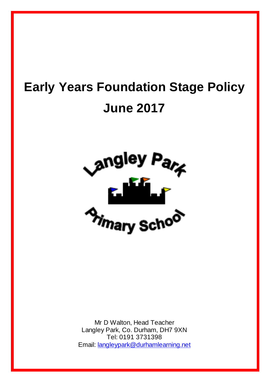# **Early Years Foundation Stage Policy June 2017**



Mr D Walton, Head Teacher Langley Park, Co. Durham, DH7 9XN Tel: 0191 3731398 Email: [langleypark@durhamlearning.net](mailto:langleypark@durhamlearning.net)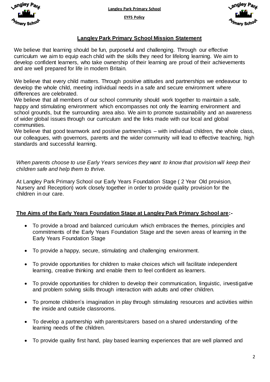**Langley Park Primary School**

**EYFS Policy**





# **Langley Park Primary School Mission Statement**

We believe that learning should be fun, purposeful and challenging. Through our effective curriculum we aim to equip each child with the skills they need for lifelong learning. We aim to develop confident learners, who take ownership of their learning are proud of their achievements and are well prepared for life in modern Britain.

We believe that every child matters. Through positive attitudes and partnerships we endeavour to develop the whole child, meeting individual needs in a safe and secure environment where differences are celebrated.

We believe that all members of our school community should work together to maintain a safe, happy and stimulating environment which encompasses not only the learning environment and school grounds, but the surrounding area also. We aim to promote sustainability and an awareness of wider global issues through our curriculum and the links made with our local and global communities.

We believe that good teamwork and positive partnerships – with individual children, the whole class, our colleagues, with governors, parents and the wider community will lead to effective teaching. high standards and successful learning.

*When parents choose to use Early Years services they want to know that provision will keep their children safe and help them to thrive.*

At Langley Park Primary School our Early Years Foundation Stage ( 2 Year Old provision, Nursery and Reception) work closely together in order to provide quality provision for the children in our care.

# **The Aims of the Early Years Foundation Stage at Langley Park Primary School are:-**

- To provide a broad and balanced curriculum which embraces the themes, principles and commitments of the Early Years Foundation Stage and the seven areas of learning in the Early Years Foundation Stage
- To provide a happy, secure, stimulating and challenging environment.
- To provide opportunities for children to make choices which will facilitate independent learning, creative thinking and enable them to feel confident as learners.
- To provide opportunities for children to develop their communication, linguistic, investigative and problem solving skills through interaction with adults and other children.
- To promote children's imagination in play through stimulating resources and activities within the inside and outside classrooms.
- To develop a partnership with parents/carers based on a shared understanding of the learning needs of the children.
- To provide quality first hand, play based learning experiences that are well planned and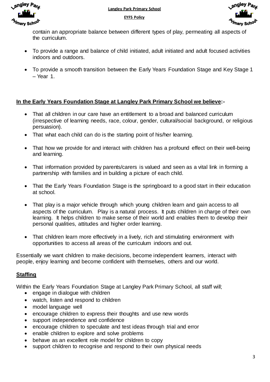



contain an appropriate balance between different types of play, permeating all aspects of the curriculum.

- To provide a range and balance of child initiated, adult initiated and adult focused activities indoors and outdoors.
- To provide a smooth transition between the Early Years Foundation Stage and Key Stage 1 – Year 1.

# **In the Early Years Foundation Stage at Langley Park Primary School we believe:-**

- That all children in our care have an entitlement to a broad and balanced curriculum (irrespective of learning needs, race, colour, gender, cultural/social background, or religious persuasion).
- That what each child can do is the starting point of his/her learning.
- That how we provide for and interact with children has a profound effect on their well-being and learning.
- That information provided by parents/carers is valued and seen as a vital link in forming a partnership with families and in building a picture of each child.
- That the Early Years Foundation Stage is the springboard to a good start in their education at school.
- That play is a major vehicle through which young children learn and gain access to all aspects of the curriculum. Play is a natural process. It puts children in charge of their own learning. It helps children to make sense of their world and enables them to develop their personal qualities, attitudes and higher order learning.
- That children learn more effectively in a lively, rich and stimulating environment with opportunities to access all areas of the curriculum indoors and out.

Essentially we want children to make decisions, become independent learners, interact with people, enjoy learning and become confident with themselves, others and our world.

# **Staffing**

Within the Early Years Foundation Stage at Langley Park Primary School, all staff will;

- engage in dialogue with children
- watch, listen and respond to children
- model language well
- encourage children to express their thoughts and use new words
- support independence and confidence
- encourage children to speculate and test ideas through trial and error
- enable children to explore and solve problems
- behave as an excellent role model for children to copy
- support children to recognise and respond to their own physical needs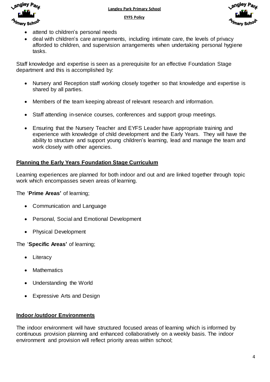



- attend to children's personal needs
- deal with children's care arrangements, including intimate care, the levels of privacy afforded to children, and supervision arrangements when undertaking personal hygiene tasks.

Staff knowledge and expertise is seen as a prerequisite for an effective Foundation Stage department and this is accomplished by:

- Nursery and Reception staff working closely together so that knowledge and expertise is shared by all parties.
- Members of the team keeping abreast of relevant research and information.
- Staff attending in-service courses, conferences and support group meetings.
- Ensuring that the Nursery Teacher and EYFS Leader have appropriate training and experience with knowledge of child development and the Early Years. They will have the ability to structure and support young children's learning, lead and manage the team and work closely with other agencies.

# **Planning the Early Years Foundation Stage Curriculum**

Learning experiences are planned for both indoor and out and are linked together through topic work which encompasses seven areas of learning.

The '**Prime Areas'** of learning;

- Communication and Language
- Personal, Social and Emotional Development
- Physical Development

The '**Specific Areas'** of learning;

- Literacy
- **Mathematics**
- Understanding the World
- Expressive Arts and Design

#### **Indoor /outdoor Environments**

The indoor environment will have structured focused areas of learning which is informed by continuous provision planning and enhanced collaboratively on a weekly basis. The indoor environment and provision will reflect priority areas within school;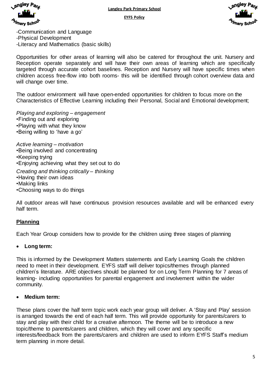





-Communication and Language -Physical Development -Literacy and Mathematics (basic skills)

Opportunities for other areas of learning will also be catered for throughout the unit. Nursery and Reception operate separately and will have their own areas of learning which are specifically targeted through accurate cohort baselines. Reception and Nursery will have specific times when children access free-flow into both rooms- this will be identified through cohort overview data and will change over time.

The outdoor environment will have open-ended opportunities for children to focus more on the Characteristics of Effective Learning including their Personal, Social and Emotional development;

*Playing and exploring – engagement* •Finding out and exploring •Playing with what they know •Being willing to 'have a go'

*Active learning – motivation* •Being involved and concentrating •Keeping trying •Enjoying achieving what they set out to do *Creating and thinking critically – thinking* •Having their own ideas

- •Making links
- •Choosing ways to do things

All outdoor areas will have continuous provision resources available and will be enhanced every half term.

# **Planning**

Each Year Group considers how to provide for the children using three stages of planning

# **Long term:**

This is informed by the Development Matters statements and Early Learning Goals the children need to meet in their development. EYFS staff will deliver topics/themes through planned children's literature. ARE objectives should be planned for on Long Term Planning for 7 areas of learning- including opportunities for parental engagement and involvement within the wider community.

# **Medium term:**

These plans cover the half term topic work each year group will deliver. A 'Stay and Play' session is arranged towards the end of each half term. This will provide opportunity for parents/carers to stay and play with their child for a creative afternoon. The theme will be to introduce a new topic/theme to parents/carers and children, which they will cover and any specific interests/feedback from the parents/carers and children are used to inform EYFS Staff's medium term planning in more detail.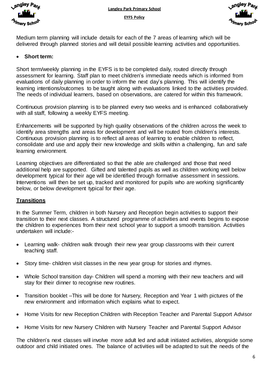



Medium term planning will include details for each of the 7 areas of learning which will be delivered through planned stories and will detail possible learning activities and opportunities.

# **Short term:**

Short term/weekly planning in the EYFS is to be completed daily, routed directly through assessment for learning. Staff plan to meet children's immediate needs which is informed from evaluations of daily planning in order to inform the next day's planning. This will identify the learning intentions/outcomes to be taught along with evaluations linked to the activities provided. The needs of individual learners, based on observations, are catered for within this framework.

Continuous provision planning is to be planned every two weeks and is enhanced collaboratively with all staff, following a weekly EYFS meeting.

Enhancements will be supported by high quality observations of the children across the week to identify area strengths and areas for development and will be routed from children's interests. Continuous provision planning is to reflect all areas of learning to enable children to reflect, consolidate and use and apply their new knowledge and skills within a challenging, fun and safe learning environment.

Learning objectives are differentiated so that the able are challenged and those that need additional help are supported. Gifted and talented pupils as well as children working well below development typical for their age will be identified through formative assessment in sessions. Interventions will then be set up, tracked and monitored for pupils who are working significantly below, or below development typical for their age.

# **Transitions**

In the Summer Term, children in both Nursery and Reception begin activities to support their transition to their next classes. A structured programme of activities and events begins to expose the children to experiences from their next school year to support a smooth transition. Activities undertaken will include:-

- Learning walk- children walk through their new year group classrooms with their current teaching staff.
- Story time- children visit classes in the new year group for stories and rhymes.
- Whole School transition day- Children will spend a morning with their new teachers and will stay for their dinner to recognise new routines.
- Transition booklet –This will be done for Nursery, Reception and Year 1 with pictures of the new environment and information which explains what to expect.
- Home Visits for new Reception Children with Reception Teacher and Parental Support Advisor
- Home Visits for new Nursery Children with Nursery Teacher and Parental Support Advisor

The children's next classes will involve more adult led and adult initiated activities, alongside some outdoor and child initiated ones. The balance of activities will be adapted to suit the needs of the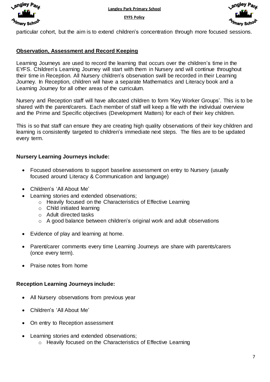



particular cohort, but the aim is to extend children's concentration through more focused sessions.

# **Observation, Assessment and Record Keeping**

Learning Journeys are used to record the learning that occurs over the children's time in the EYFS. Children's Learning Journey will start with them in Nursery and will continue throughout their time in Reception. All Nursery children's observation swill be recorded in their Learning Journey. In Reception, children will have a separate Mathematics and Literacy book and a Learning Journey for all other areas of the curriculum.

Nursery and Reception staff will have allocated children to form 'Key Worker Groups'. This is to be shared with the parent/carers. Each member of staff will keep a file with the individual overview and the Prime and Specific objectives (Development Matters) for each of their key children.

This is so that staff can ensure they are creating high quality observations of their key children and learning is consistently targeted to children's immediate next steps. The files are to be updated every term.

# **Nursery Learning Journeys include:**

- Focused observations to support baseline assessment on entry to Nursery (usually focused around Literacy & Communication and language)
- Children's 'All About Me'
- Learning stories and extended observations;
	- o Heavily focused on the Characteristics of Effective Learning
	- o Child initiated learning
	- o Adult directed tasks
	- o A good balance between children's original work and adult observations
- Evidence of play and learning at home.
- Parent/carer comments every time Learning Journeys are share with parents/carers (once every term).
- Praise notes from home

#### **Reception Learning Journeys include:**

- All Nursery observations from previous year
- Children's 'All About Me'
- On entry to Reception assessment
- Learning stories and extended observations; o Heavily focused on the Characteristics of Effective Learning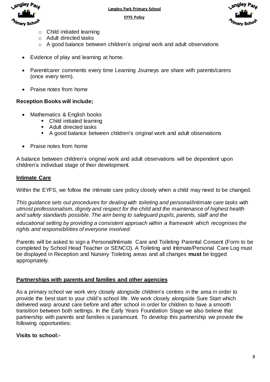





- $\circ$  Child initiated learning
- o Adult directed tasks
- o A good balance between children's original work and adult observations
- Evidence of play and learning at home.
- Parent/carer comments every time Learning Journeys are share with parents/carers (once every term).
- Praise notes from home

#### **Reception Books will include;**

- Mathematics & English books
	- Child initiated learning
	- Adult directed tasks
	- A good balance between children's original work and adult observations
- Praise notes from home

A balance between children's original work and adult observations will be dependent upon children's individual stage of their development.

#### **Intimate Care**

Within the EYFS, we follow the intimate care policy closely when a child may need to be changed.

*This guidance sets out procedures for dealing with toileting and personal/intimate care tasks with utmost professionalism, dignity and respect for the child and the maintenance of highest health and safety standards possible. The aim being to safeguard pupils, parents, staff and the*

*educational setting by providing a consistent approach within a framework which recognises the rights and responsibilities of everyone involved.*

Parents will be asked to sign a Personal/Intimate Care and Toileting Parental Consent (Form to be completed by School Head Teacher or SENCO). A Toileting and Intimate/Personal Care Log must be displayed in Reception and Nursery Toileting areas and all changes **must** be logged appropriately.

# **Partnerships with parents and families and other agencies**

As a primary school we work very closely alongside children's centres in the area in order to provide the best start to your child's school life. We work closely alongside Sure Start which delivered warp around care before and after school in order for children to have a smooth transition between both settings. In the Early Years Foundation Stage we also believe that partnership with parents and families is paramount. To develop this partnership we provide the following opportunities:

# **Visits to school:-**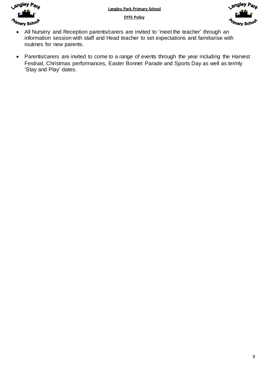



- All Nursery and Reception parents/carers are invited to 'meet the teacher' through an information session with staff and Head teacher to set expectations and familiarise with routines for new parents.
- Parents/carers are invited to come to a range of events through the year including the Harvest Festival, Christmas performances, Easter Bonnet Parade and Sports Day as well as termly 'Stay and Play' dates.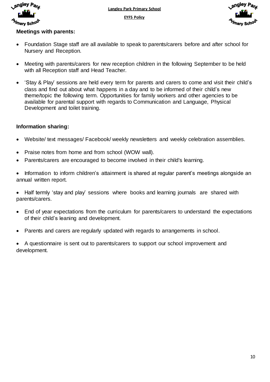

**Langley Park Primary School**

**EYFS Policy**



# **Meetings with parents:**

- Foundation Stage staff are all available to speak to parents/carers before and after school for Nursery and Reception.
- Meeting with parents/carers for new reception children in the following September to be held with all Reception staff and Head Teacher.
- 'Stay & Play' sessions are held every term for parents and carers to come and visit their child's class and find out about what happens in a day and to be informed of their child's new theme/topic the following term. Opportunities for family workers and other agencies to be available for parental support with regards to Communication and Language, Physical Development and toilet training.

# **Information sharing:**

- Website/ text messages/ Facebook/ weekly newsletters and weekly celebration assemblies.
- Praise notes from home and from school (WOW wall).
- Parents/carers are encouraged to become involved in their child's learning.
- Information to inform children's attainment is shared at regular parent's meetings alongside an annual written report.
- Half termly 'stay and play' sessions where books and learning journals are shared with parents/carers.
- End of year expectations from the curriculum for parents/carers to understand the expectations of their child's leaning and development.
- Parents and carers are regularly updated with regards to arrangements in school.

 A questionnaire is sent out to parents/carers to support our school improvement and development.